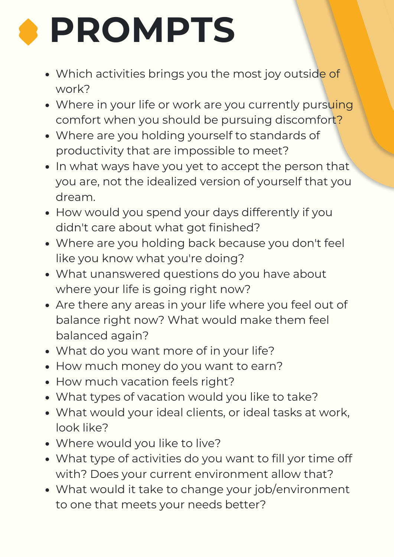## **PROMPTS**

- Which activities brings you the most joy outside of work?
- Where in your life or work are you currently pursuing comfort when you should be pursuing discomfort?
- Where are you holding yourself to standards of productivity that are impossible to meet?
- In what ways have you yet to accept the person that you are, not the idealized version of yourself that you dream.
- How would you spend your days differently if you didn't care about what got finished?
- Where are you holding back because you don't feel like you know what you're doing?
- What unanswered questions do you have about where your life is going right now?
- Are there any areas in your life where you feel out of balance right now? What would make them feel balanced again?
- What do you want more of in your life?
- How much money do you want to earn?
- How much vacation feels right?
- What types of vacation would you like to take?
- What would your ideal clients, or ideal tasks at work, look like?
- Where would you like to live?
- What type of activities do you want to fill yor time off with? Does your current environment allow that?
- What would it take to change your job/environment to one that meets your needs better?